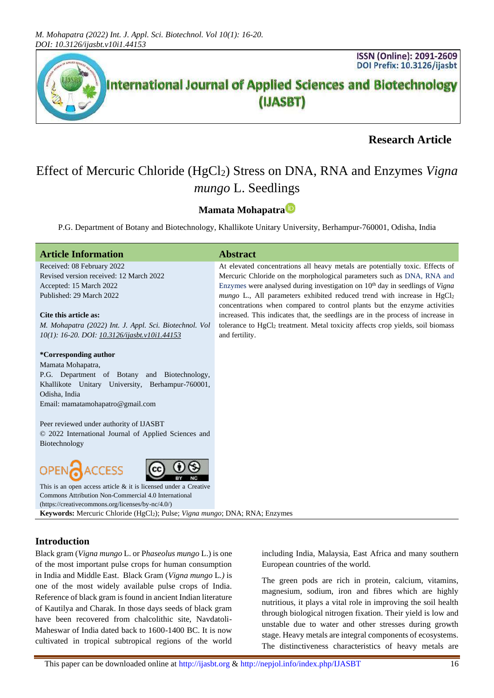

# **Research Article**

# Effect of Mercuric Chloride (HgCl<sub>2</sub>) Stress on DNA, RNA and Enzymes *Vigna mungo* L. Seedlings

# **Mamata Mohapatra**

P.G. Department of Botany and Biotechnology, Khallikote Unitary University, Berhampur-760001, Odisha, India

#### **Article Information Abstract**

Received: 08 February 2022 Revised version received: 12 March 2022 Accepted: 15 March 2022 Published: 29 March 2022

#### **Cite this article as:**

*M. Mohapatra (2022) Int. J. Appl. Sci. Biotechnol. Vol 10(1): 16-20. DOI[: 10.3126/ijasbt.v10i1.44153](https://doi.org/10.3126/ijasbt.v10i1.44153)*

#### **\*Corresponding author**

Mamata Mohapatra, P.G. Department of Botany and Biotechnology, Khallikote Unitary University, Berhampur-760001, Odisha, India Email: mamatamohapatro@gmail.com

Peer reviewed under authority of IJASBT © 2022 International Journal of Applied Sciences and Biotechnology





This is an open access article & it is licensed under a [Creative](https://creativecommons.org/licenses/by-nc/4.0/)  [Commons Attribution Non-Commercial 4.0 International](https://creativecommons.org/licenses/by-nc/4.0/) [\(https://creativecommons.org/licenses/by-nc/4.0/\)](https://creativecommons.org/licenses/by-nc/4.0/) Keywords: Mercuric Chloride (HgCl<sub>2</sub>); Pulse; *Vigna mungo*; DNA; RNA; Enzymes

## **Introduction**

Black gram (*Vigna mungo* L. or P*haseolus mungo* L.) is one of the most important pulse crops for human consumption in India and Middle East. Black Gram (*Vigna mungo* L*.)* is one of the most widely available pulse crops of India. Reference of black gram is found in ancient Indian literature of Kautilya and Charak. In those days seeds of black gram have been recovered from chalcolithic site, Navdatoli-Maheswar of India dated back to 1600-1400 BC. It is now cultivated in tropical subtropical regions of the world

including India, Malaysia, East Africa and many southern European countries of the world.

The green pods are rich in protein, calcium, vitamins, magnesium, sodium, iron and fibres which are highly nutritious, it plays a vital role in improving the soil health through biological nitrogen fixation. Their yield is low and unstable due to water and other stresses during growth stage. Heavy metals are integral components of ecosystems. The distinctiveness characteristics of heavy metals are

At elevated concentrations all heavy metals are potentially toxic. Effects of Mercuric Chloride on the morphological parameters such as DNA, RNA and Enzymes were analysed during investigation on 10th day in seedlings of *Vigna*  $mungo$  L., All parameters exhibited reduced trend with increase in  $HgCl<sub>2</sub>$ concentrations when compared to control plants but the enzyme activities increased. This indicates that, the seedlings are in the process of increase in tolerance to HgCl<sup>2</sup> treatment. Metal toxicity affects crop yields, soil biomass and fertility.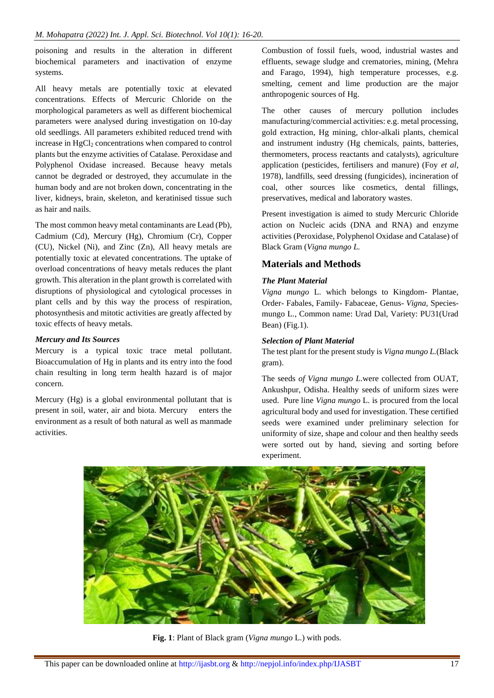poisoning and results in the alteration in different biochemical parameters and inactivation of enzyme systems.

All heavy metals are potentially toxic at elevated concentrations. Effects of Mercuric Chloride on the morphological parameters as well as different biochemical parameters were analysed during investigation on 10-day old seedlings. All parameters exhibited reduced trend with increase in  $HgCl<sub>2</sub>$  concentrations when compared to control plants but the enzyme activities of Catalase. Peroxidase and Polyphenol Oxidase increased. Because heavy metals cannot be degraded or destroyed, they accumulate in the human body and are not broken down, concentrating in the liver, kidneys, brain, skeleton, and keratinised tissue such as hair and nails.

The most common heavy metal contaminants are Lead (Pb), Cadmium (Cd), Mercury (Hg), Chromium (Cr), Copper (CU), Nickel (Ni), and Zinc (Zn), All heavy metals are potentially toxic at elevated concentrations. The uptake of overload concentrations of heavy metals reduces the plant growth. This alteration in the plant growth is correlated with disruptions of physiological and cytological processes in plant cells and by this way the process of respiration, photosynthesis and mitotic activities are greatly affected by toxic effects of heavy metals.

#### *Mercury and Its Sources*

Mercury is a typical toxic trace metal pollutant. Bioaccumulation of Hg in plants and its entry into the food chain resulting in long term health hazard is of major concern.

Mercury (Hg) is a global environmental pollutant that is present in soil, water, air and biota. Mercury enters the environment as a result of both natural as well as manmade activities.

Combustion of fossil fuels, wood, industrial wastes and effluents, sewage sludge and crematories, mining, (Mehra and Farago, 1994), high temperature processes, e.g. smelting, cement and lime production are the major anthropogenic sources of Hg.

The other causes of mercury pollution includes manufacturing/commercial activities: e.g. metal processing, gold extraction, Hg mining, chlor-alkali plants, chemical and instrument industry (Hg chemicals, paints, batteries, thermometers, process reactants and catalysts), agriculture application (pesticides, fertilisers and manure) (Foy *et al*, 1978), landfills, seed dressing (fungicides), incineration of coal, other sources like cosmetics, dental fillings, preservatives, medical and laboratory wastes.

Present investigation is aimed to study Mercuric Chloride action on Nucleic acids (DNA and RNA) and enzyme activities (Peroxidase, Polyphenol Oxidase and Catalase) of Black Gram (*Vigna mungo L.*

## **Materials and Methods**

## *The Plant Material*

*Vigna mungo* L. which belongs to Kingdom- Plantae, Order- Fabales, Family- Fabaceae, Genus- *Vigna,* Speciesmungo L*.,* Common name: Urad Dal, Variety: PU31(Urad Bean) (Fig.1).

## *Selection of Plant Material*

The test plant for the present study is *Vigna mungo L.*(Black gram).

The seeds *of Vigna mungo L.*were collected from OUAT, Ankushpur, Odisha. Healthy seeds of uniform sizes were used. Pure line *Vigna mungo* L. is procured from the local agricultural body and used for investigation. These certified seeds were examined under preliminary selection for uniformity of size, shape and colour and then healthy seeds were sorted out by hand, sieving and sorting before experiment.



**Fig. 1**: Plant of Black gram (*Vigna mungo* L.) with pods.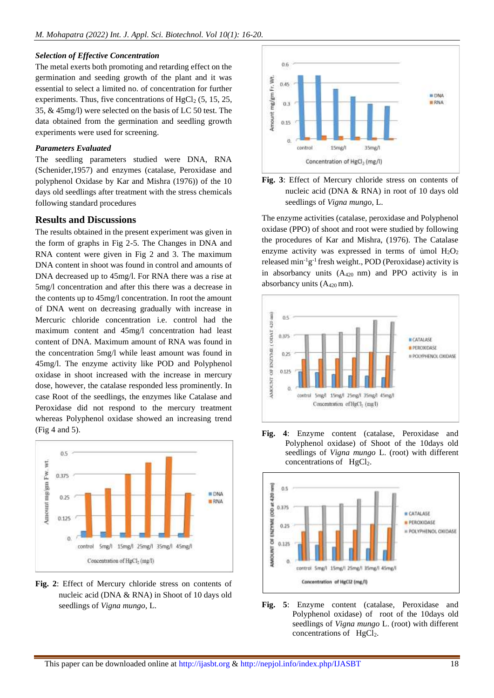#### *Selection of Effective Concentration*

The metal exerts both promoting and retarding effect on the germination and seeding growth of the plant and it was essential to select a limited no. of concentration for further experiments. Thus, five concentrations of  $HgCl<sub>2</sub>$  (5, 15, 25, 35, & 45mg/l) were selected on the basis of LC 50 test. The data obtained from the germination and seedling growth experiments were used for screening.

#### *Parameters Evaluated*

The seedling parameters studied were DNA, RNA (Schenider,1957) and enzymes (catalase, Peroxidase and polyphenol Oxidase by Kar and Mishra (1976)) of the 10 days old seedlings after treatment with the stress chemicals following standard procedures

## **Results and Discussions**

The results obtained in the present experiment was given in the form of graphs in Fig 2-5. The Changes in DNA and RNA content were given in Fig 2 and 3. The maximum DNA content in shoot was found in control and amounts of DNA decreased up to 45mg/l. For RNA there was a rise at 5mg/l concentration and after this there was a decrease in the contents up to 45mg/l concentration. In root the amount of DNA went on decreasing gradually with increase in Mercuric chloride concentration i.e. control had the maximum content and 45mg/l concentration had least content of DNA. Maximum amount of RNA was found in the concentration 5mg/l while least amount was found in 45mg/l. The enzyme activity like POD and Polyphenol oxidase in shoot increased with the increase in mercury dose, however, the catalase responded less prominently. In case Root of the seedlings, the enzymes like Catalase and Peroxidase did not respond to the mercury treatment whereas Polyphenol oxidase showed an increasing trend (Fig 4 and 5).



**Fig. 2**: Effect of Mercury chloride stress on contents of nucleic acid (DNA & RNA) in Shoot of 10 days old seedlings of *Vigna mungo*, L.





The enzyme activities (catalase, peroxidase and Polyphenol oxidase (PPO) of shoot and root were studied by following the procedures of Kar and Mishra, (1976). The Catalase enzyme activity was expressed in terms of ủmol  $H_2O_2$ released  $min^{-1}g^{-1}$  fresh weight., POD (Peroxidase) activity is in absorbancy units  $(A_{420})$  nm) and PPO activity is in absorbancy units  $(A_{420} \text{ nm})$ .







**Fig. 5**: Enzyme content (catalase, Peroxidase and Polyphenol oxidase) of root of the 10days old seedlings of *Vigna mungo* L. (root) with different concentrations of  $HeCl<sub>2</sub>$ .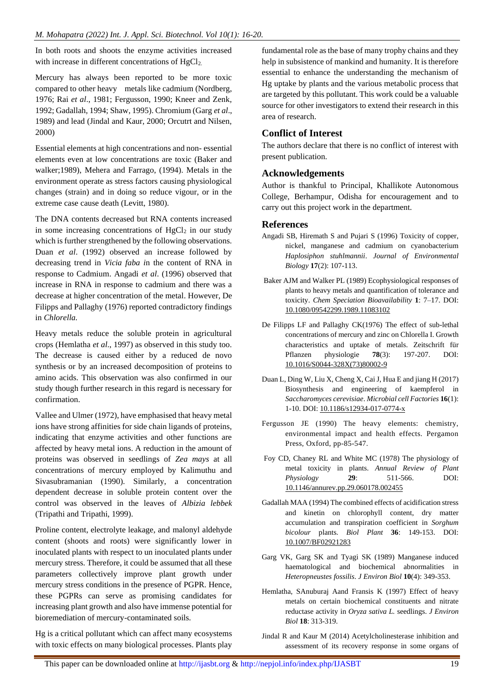In both roots and shoots the enzyme activities increased with increase in different concentrations of  $HgCl<sub>2</sub>$ .

Mercury has always been reported to be more toxic compared to other heavy metals like cadmium (Nordberg, 1976; Rai *et al*., 1981; Fergusson, 1990; Kneer and Zenk, 1992; Gadallah, 1994; Shaw, 1995). Chromium (Garg *et al*., 1989) and lead (Jindal and Kaur, 2000; Orcutrt and Nilsen, 2000)

Essential elements at high concentrations and non- essential elements even at low concentrations are toxic (Baker and walker;1989), Mehera and Farrago, (1994). Metals in the environment operate as stress factors causing physiological changes (strain) and in doing so reduce vigour, or in the extreme case cause death (Levitt, 1980).

The DNA contents decreased but RNA contents increased in some increasing concentrations of  $HgCl<sub>2</sub>$  in our study which is further strengthened by the following observations. Duan *et al*. (1992) observed an increase followed by decreasing trend in *Vicia faba i*n the content of RNA in response to Cadmium. Angadi *et al*. (1996) observed that increase in RNA in response to cadmium and there was a decrease at higher concentration of the metal. However, De Filipps and Pallaghy (1976) reported contradictory findings in *Chlorella.*

Heavy metals reduce the soluble protein in agricultural crops (Hemlatha *et al*., 1997) as observed in this study too. The decrease is caused either by a reduced de novo synthesis or by an increased decomposition of proteins to amino acids. This observation was also confirmed in our study though further research in this regard is necessary for confirmation.

Vallee and Ulmer (1972), have emphasised that heavy metal ions have strong affinities for side chain ligands of proteins, indicating that enzyme activities and other functions are affected by heavy metal ions. A reduction in the amount of proteins was observed in seedlings of *Zea mays* at all concentrations of mercury employed by Kalimuthu and Sivasubramanian (1990). Similarly, a concentration dependent decrease in soluble protein content over the control was observed in the leaves of *Albizia lebbek* (Tripathi and Tripathi, 1999).

Proline content, electrolyte leakage, and malonyl aldehyde content (shoots and roots) were significantly lower in inoculated plants with respect to un inoculated plants under mercury stress. Therefore, it could be assumed that all these parameters collectively improve plant growth under mercury stress conditions in the presence of PGPR. Hence, these PGPRs can serve as promising candidates for increasing plant growth and also have immense potential for bioremediation of mercury-contaminated soils.

Hg is a critical pollutant which can affect many ecosystems with toxic effects on many biological processes. Plants play

fundamental role as the base of many trophy chains and they help in subsistence of mankind and humanity. It is therefore essential to enhance the understanding the mechanism of Hg uptake by plants and the various metabolic process that are targeted by this pollutant. This work could be a valuable source for other investigators to extend their research in this area of research.

## **Conflict of Interest**

The authors declare that there is no conflict of interest with present publication.

## **Acknowledgements**

Author is thankful to Principal, Khallikote Autonomous College, Berhampur, Odisha for encouragement and to carry out this project work in the department.

## **References**

- Angadi SB, Hiremath S and Pujari S (1996) Toxicity of copper, nickel, manganese and cadmium on cyanobacterium *Haplosiphon stuhlmannii*. *Journal of Environmental Biology* **17**(2): 107-113.
- Baker AJM and Walker PL (1989) Ecophysiological responses of plants to heavy metals and quantification of tolerance and toxicity. *Chem Speciation Bioavailability* **1**: 7–17. DOI: [10.1080/09542299.1989.11083102](https://doi.org/10.1080/09542299.1989.11083102)
- De Filipps LF and Pallaghy CK(1976) The effect of sub-lethal concentrations of mercury and zinc on Chlorella I. Growth characteristics and uptake of metals. Zeitschrift für Pflanzen physiologie **78**(3): 197-207. DOI: [10.1016/S0044-328X\(73\)80002-9](https://doi.org/10.1016/S0044-328X(73)80002-9)
- Duan L, Ding W, Liu X, Cheng X, Cai J, Hua E and jiang H (2017) Biosynthesis and engineering of kaempferol in *Saccharomyces cerevisiae*. *Microbial cell Factories* **16**(1): 1-10. DOI: [10.1186/s12934-017-0774-x](https://doi.org/10.1186/s12934-017-0774-x)
- Fergusson JE (1990) The heavy elements: chemistry, environmental impact and health effects. Pergamon Press, Oxford, pp-85-547.
- Foy CD, Chaney RL and White MC (1978) The physiology of metal toxicity in plants. *Annual Review of Plant Physiology* **29**: 511-566. DOI: [10.1146/annurev.pp.29.060178.002455](https://doi.org/10.1146/annurev.pp.29.060178.002455)
- Gadallah MAA (1994) The combined effects of acidification stress and kinetin on chlorophyll content, dry matter accumulation and transpiration coefficient in *Sorghum bicolour* plants. *Biol Plant* **36**: 149-153. DOI: [10.1007/BF02921283](https://doi.org/10.1007/BF02921283)
- Garg VK, Garg SK and Tyagi SK (1989) Manganese induced haematological and biochemical abnormalities in *Heteropneustes fossilis*. *J Environ Biol* **10**(4): 349-353.
- Hemlatha, SAnuburaj Aand Fransis K (1997) Effect of heavy metals on certain biochemical constituents and nitrate reductase activity in *Oryza sativa L.* seedlings. *J Environ Biol* **18**: 313-319.
- Jindal R and Kaur M (2014) Acetylcholinesterase inhibition and assessment of its recovery response in some organs of